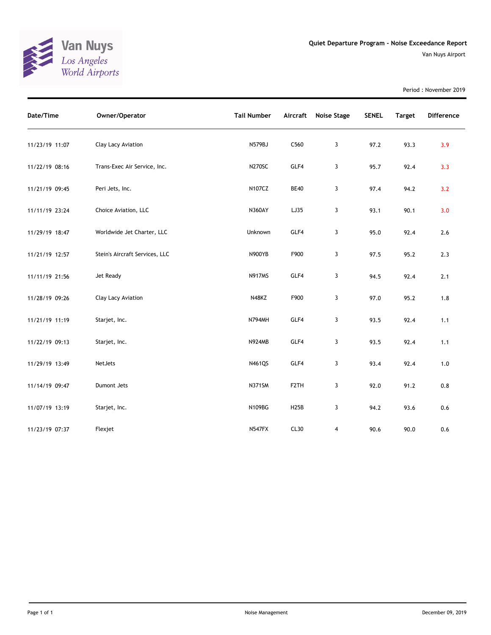

Period : November 2019

| Date/Time      | Owner/Operator                 | <b>Tail Number</b> | Aircraft          | Noise Stage | <b>SENEL</b> | <b>Target</b> | <b>Difference</b> |
|----------------|--------------------------------|--------------------|-------------------|-------------|--------------|---------------|-------------------|
| 11/23/19 11:07 | Clay Lacy Aviation             | N579BJ             | C560              | 3           | 97.2         | 93.3          | 3.9               |
| 11/22/19 08:16 | Trans-Exec Air Service, Inc.   | <b>N270SC</b>      | GLF4              | 3           | 95.7         | 92.4          | 3.3               |
| 11/21/19 09:45 | Peri Jets, Inc.                | N107CZ             | <b>BE40</b>       | 3           | 97.4         | 94.2          | 3.2               |
| 11/11/19 23:24 | Choice Aviation, LLC           | <b>N360AY</b>      | LJ35              | 3           | 93.1         | 90.1          | 3.0               |
| 11/29/19 18:47 | Worldwide Jet Charter, LLC     | Unknown            | GLF4              | 3           | 95.0         | 92.4          | 2.6               |
| 11/21/19 12:57 | Stein's Aircraft Services, LLC | <b>N900YB</b>      | F900              | 3           | 97.5         | 95.2          | 2.3               |
| 11/11/19 21:56 | Jet Ready                      | <b>N917MS</b>      | GLF4              | 3           | 94.5         | 92.4          | 2.1               |
| 11/28/19 09:26 | Clay Lacy Aviation             | N48KZ              | F900              | 3           | 97.0         | 95.2          | 1.8               |
| 11/21/19 11:19 | Starjet, Inc.                  | N794MH             | GLF4              | 3           | 93.5         | 92.4          | 1.1               |
| 11/22/19 09:13 | Starjet, Inc.                  | <b>N924MB</b>      | GLF4              | 3           | 93.5         | 92.4          | 1.1               |
| 11/29/19 13:49 | NetJets                        | N461QS             | GLF4              | 3           | 93.4         | 92.4          | 1.0               |
| 11/14/19 09:47 | Dumont Jets                    | <b>N371SM</b>      | F <sub>2</sub> TH | 3           | 92.0         | 91.2          | 0.8               |
| 11/07/19 13:19 | Starjet, Inc.                  | N109BG             | <b>H25B</b>       | 3           | 94.2         | 93.6          | 0.6               |
| 11/23/19 07:37 | Flexjet                        | <b>N547FX</b>      | CL30              | 4           | 90.6         | 90.0          | 0.6               |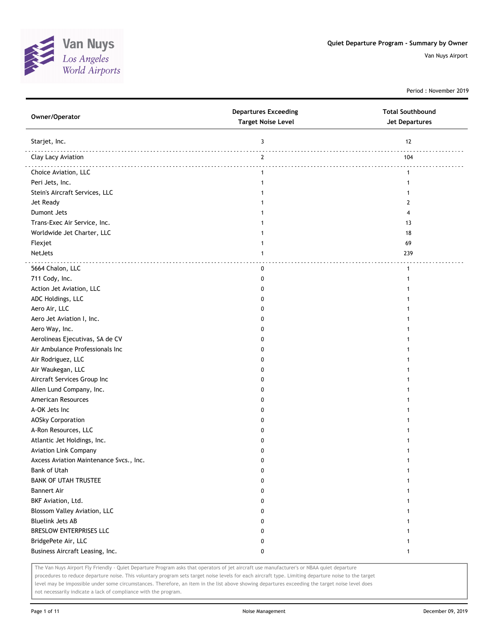

Period : November 2019

| Owner/Operator                          | <b>Departures Exceeding</b><br><b>Target Noise Level</b> | <b>Total Southbound</b><br>Jet Departures |
|-----------------------------------------|----------------------------------------------------------|-------------------------------------------|
| Starjet, Inc.                           | 3                                                        | 12                                        |
| Clay Lacy Aviation                      | $\mathbf{2}$                                             | 104                                       |
| Choice Aviation, LLC                    | $\mathbf{1}$                                             | $\mathbf{1}$                              |
| Peri Jets, Inc.                         | 1                                                        |                                           |
| Stein's Aircraft Services, LLC          | 1                                                        |                                           |
| Jet Ready                               | 1                                                        | 2                                         |
| Dumont Jets                             | 1                                                        | 4                                         |
| Trans-Exec Air Service, Inc.            |                                                          | 13                                        |
| Worldwide Jet Charter, LLC              |                                                          | 18                                        |
| Flexjet                                 | 1                                                        | 69                                        |
| NetJets                                 | 1                                                        | 239                                       |
| 5664 Chalon, LLC                        | 0                                                        | $\mathbf{1}$                              |
| 711 Cody, Inc.                          | 0                                                        | 1                                         |
| Action Jet Aviation, LLC                | 0                                                        |                                           |
| ADC Holdings, LLC                       | 0                                                        |                                           |
| Aero Air, LLC                           | 0                                                        |                                           |
| Aero Jet Aviation I, Inc.               | 0                                                        |                                           |
| Aero Way, Inc.                          | 0                                                        |                                           |
| Aerolineas Ejecutivas, SA de CV         | 0                                                        |                                           |
| Air Ambulance Professionals Inc         | 0                                                        |                                           |
| Air Rodriguez, LLC                      | 0                                                        |                                           |
| Air Waukegan, LLC                       | 0                                                        |                                           |
| Aircraft Services Group Inc             | 0                                                        |                                           |
| Allen Lund Company, Inc.                | 0                                                        |                                           |
| American Resources                      | 0                                                        |                                           |
| A-OK Jets Inc                           | 0                                                        |                                           |
| <b>AOSky Corporation</b>                | 0                                                        |                                           |
| A-Ron Resources, LLC                    | 0                                                        |                                           |
| Atlantic Jet Holdings, Inc.             | 0                                                        |                                           |
| <b>Aviation Link Company</b>            | 0                                                        |                                           |
| Axcess Aviation Maintenance Svcs., Inc. | 0                                                        |                                           |
| <b>Bank of Utah</b>                     | 0                                                        | 1                                         |
| <b>BANK OF UTAH TRUSTEE</b>             | 0                                                        | 1                                         |
| <b>Bannert Air</b>                      | 0                                                        | 1                                         |
| BKF Aviation, Ltd.                      | 0                                                        | 1                                         |
| Blossom Valley Aviation, LLC            | 0                                                        |                                           |
| <b>Bluelink Jets AB</b>                 | 0                                                        |                                           |
| BRESLOW ENTERPRISES LLC                 | 0                                                        |                                           |
| BridgePete Air, LLC                     | 0                                                        |                                           |
| Business Aircraft Leasing, Inc.         | 0                                                        |                                           |
|                                         |                                                          |                                           |

The Van Nuys Airport Fly Friendly - Quiet Departure Program asks that operators of jet aircraft use manufacturer's or NBAA quiet departure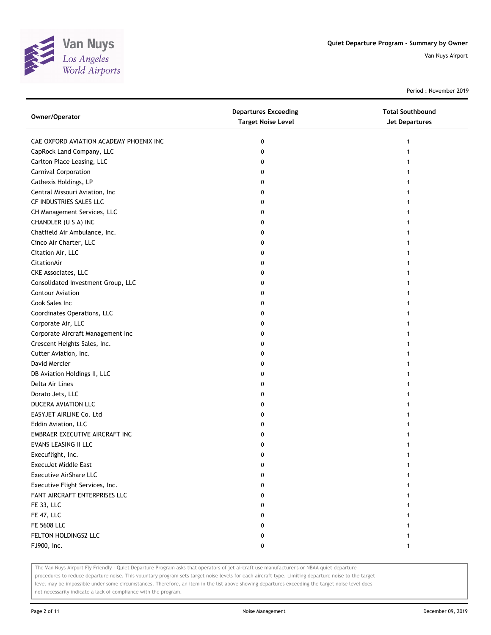

Period : November 2019

| Owner/Operator                          | <b>Departures Exceeding</b><br><b>Target Noise Level</b> | <b>Total Southbound</b><br>Jet Departures |
|-----------------------------------------|----------------------------------------------------------|-------------------------------------------|
| CAE OXFORD AVIATION ACADEMY PHOENIX INC | 0                                                        | 1                                         |
| CapRock Land Company, LLC               | 0                                                        |                                           |
| Carlton Place Leasing, LLC              | 0                                                        |                                           |
| Carnival Corporation                    | 0                                                        |                                           |
| Cathexis Holdings, LP                   | 0                                                        |                                           |
| Central Missouri Aviation, Inc          | 0                                                        |                                           |
| CF INDUSTRIES SALES LLC                 | 0                                                        | 1                                         |
| CH Management Services, LLC             | 0                                                        |                                           |
| CHANDLER (U S A) INC                    | 0                                                        |                                           |
| Chatfield Air Ambulance, Inc.           | 0                                                        |                                           |
| Cinco Air Charter, LLC                  | 0                                                        |                                           |
| Citation Air, LLC                       | 0                                                        |                                           |
| CitationAir                             | 0                                                        |                                           |
| <b>CKE Associates, LLC</b>              | 0                                                        |                                           |
| Consolidated Investment Group, LLC      | 0                                                        |                                           |
| <b>Contour Aviation</b>                 | 0                                                        |                                           |
| Cook Sales Inc                          | 0                                                        |                                           |
| Coordinates Operations, LLC             | 0                                                        |                                           |
| Corporate Air, LLC                      | 0                                                        |                                           |
| Corporate Aircraft Management Inc       | 0                                                        |                                           |
| Crescent Heights Sales, Inc.            | 0                                                        |                                           |
| Cutter Aviation, Inc.                   | 0                                                        |                                           |
| David Mercier                           | 0                                                        |                                           |
| DB Aviation Holdings II, LLC            | 0                                                        |                                           |
| Delta Air Lines                         | 0                                                        |                                           |
| Dorato Jets, LLC                        | 0                                                        |                                           |
| DUCERA AVIATION LLC                     | 0                                                        |                                           |
| EASYJET AIRLINE Co. Ltd                 | 0                                                        |                                           |
| Eddin Aviation, LLC                     | 0                                                        |                                           |
| EMBRAER EXECUTIVE AIRCRAFT INC          | 0                                                        |                                           |
| EVANS LEASING II LLC                    | 0                                                        |                                           |
| Execuflight, Inc.                       | 0                                                        |                                           |
| ExecuJet Middle East                    | 0                                                        |                                           |
| <b>Executive AirShare LLC</b>           | 0                                                        |                                           |
| Executive Flight Services, Inc.         | 0                                                        |                                           |
| FANT AIRCRAFT ENTERPRISES LLC           | 0                                                        |                                           |
| FE 33, LLC                              | 0                                                        |                                           |
| FE 47, LLC                              | 0                                                        |                                           |
| FE 5608 LLC                             | 0                                                        |                                           |
| FELTON HOLDINGS2 LLC                    | 0                                                        |                                           |
| FJ900, Inc.                             | 0                                                        | 1                                         |

The Van Nuys Airport Fly Friendly - Quiet Departure Program asks that operators of jet aircraft use manufacturer's or NBAA quiet departure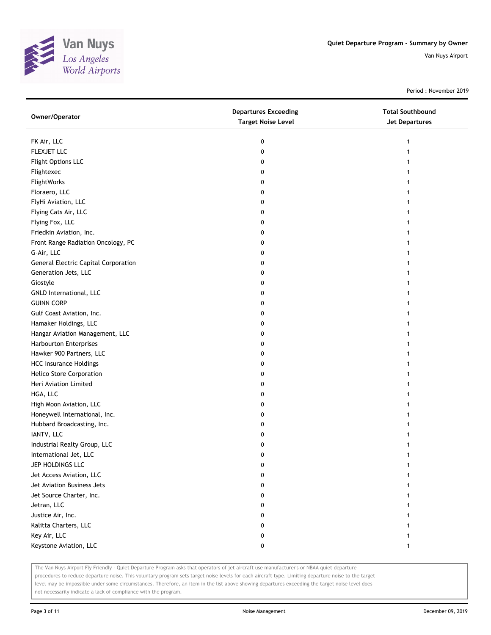

Period : November 2019

| Owner/Operator                              | <b>Departures Exceeding</b><br><b>Target Noise Level</b> | <b>Total Southbound</b><br><b>Jet Departures</b> |
|---------------------------------------------|----------------------------------------------------------|--------------------------------------------------|
| FK Air, LLC                                 | 0                                                        | 1                                                |
| FLEXJET LLC                                 | 0                                                        | 1                                                |
| Flight Options LLC                          | 0                                                        | 1                                                |
| Flightexec                                  | 0                                                        | 1                                                |
| FlightWorks                                 | 0                                                        |                                                  |
| Floraero, LLC                               | 0                                                        |                                                  |
| FlyHi Aviation, LLC                         | 0                                                        |                                                  |
| Flying Cats Air, LLC                        | 0                                                        |                                                  |
| Flying Fox, LLC                             | 0                                                        |                                                  |
| Friedkin Aviation, Inc.                     | 0                                                        |                                                  |
| Front Range Radiation Oncology, PC          | 0                                                        |                                                  |
| G-Air, LLC                                  | 0                                                        |                                                  |
| <b>General Electric Capital Corporation</b> | 0                                                        |                                                  |
| Generation Jets, LLC                        | 0                                                        | 1                                                |
| Giostyle                                    | 0                                                        |                                                  |
| GNLD International, LLC                     | 0                                                        |                                                  |
| <b>GUINN CORP</b>                           | 0                                                        |                                                  |
| Gulf Coast Aviation, Inc.                   | 0                                                        |                                                  |
| Hamaker Holdings, LLC                       | 0                                                        |                                                  |
| Hangar Aviation Management, LLC             | 0                                                        |                                                  |
| <b>Harbourton Enterprises</b>               | 0                                                        |                                                  |
| Hawker 900 Partners, LLC                    | 0                                                        |                                                  |
| <b>HCC Insurance Holdings</b>               | 0                                                        | 1                                                |
| <b>Helico Store Corporation</b>             | 0                                                        |                                                  |
| Heri Aviation Limited                       | 0                                                        |                                                  |
| HGA, LLC                                    | 0                                                        |                                                  |
| High Moon Aviation, LLC                     | 0                                                        |                                                  |
| Honeywell International, Inc.               | 0                                                        |                                                  |
| Hubbard Broadcasting, Inc.                  | 0                                                        |                                                  |
| IANTV, LLC                                  | 0                                                        |                                                  |
| Industrial Realty Group, LLC                | 0                                                        |                                                  |
| International Jet, LLC                      | 0                                                        | 1                                                |
| JEP HOLDINGS LLC                            | 0                                                        | 1                                                |
| Jet Access Aviation, LLC                    | 0                                                        | 1                                                |
| Jet Aviation Business Jets                  | 0                                                        |                                                  |
| Jet Source Charter, Inc.                    | 0                                                        |                                                  |
| Jetran, LLC                                 | 0                                                        |                                                  |
| Justice Air, Inc.                           | 0                                                        |                                                  |
| Kalitta Charters, LLC                       | 0                                                        |                                                  |
| Key Air, LLC                                | 0                                                        |                                                  |
| Keystone Aviation, LLC                      | 0                                                        | 1                                                |

The Van Nuys Airport Fly Friendly - Quiet Departure Program asks that operators of jet aircraft use manufacturer's or NBAA quiet departure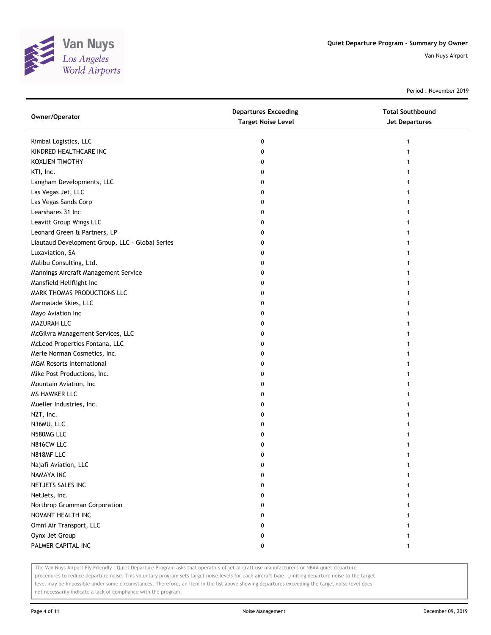

Period : November 2019

| Owner/Operator                                  | <b>Departures Exceeding</b><br><b>Target Noise Level</b> | <b>Total Southbound</b><br>Jet Departures |
|-------------------------------------------------|----------------------------------------------------------|-------------------------------------------|
| Kimbal Logistics, LLC                           | 0                                                        |                                           |
| KINDRED HEALTHCARE INC                          | 0                                                        |                                           |
| KOXLIEN TIMOTHY                                 | 0                                                        |                                           |
| KTI, Inc.                                       | 0                                                        |                                           |
| Langham Developments, LLC                       | 0                                                        |                                           |
| Las Vegas Jet, LLC                              | 0                                                        |                                           |
| Las Vegas Sands Corp                            | 0                                                        |                                           |
| Learshares 31 Inc                               | 0                                                        |                                           |
| Leavitt Group Wings LLC                         | 0                                                        |                                           |
| Leonard Green & Partners, LP                    | 0                                                        |                                           |
| Liautaud Development Group, LLC - Global Series | 0                                                        |                                           |
| Luxaviation, SA                                 | 0                                                        |                                           |
| Malibu Consulting, Ltd.                         | 0                                                        |                                           |
| Mannings Aircraft Management Service            | 0                                                        |                                           |
| Mansfield Heliflight Inc                        | 0                                                        |                                           |
| MARK THOMAS PRODUCTIONS LLC                     | 0                                                        |                                           |
| Marmalade Skies, LLC                            | 0                                                        |                                           |
| Mayo Aviation Inc                               | 0                                                        |                                           |
| MAZURAH LLC                                     | 0                                                        |                                           |
| McGilvra Management Services, LLC               | 0                                                        |                                           |
| McLeod Properties Fontana, LLC                  | 0                                                        |                                           |
| Merle Norman Cosmetics, Inc.                    | 0                                                        |                                           |
| <b>MGM Resorts International</b>                | 0                                                        |                                           |
| Mike Post Productions, Inc.                     | 0                                                        |                                           |
| Mountain Aviation, Inc                          | 0                                                        |                                           |
| MS HAWKER LLC                                   | 0                                                        |                                           |
| Mueller Industries, Inc.                        | 0                                                        |                                           |
| N2T, Inc.                                       | 0                                                        |                                           |
| N36MU, LLC                                      | 0                                                        |                                           |
| N580MG LLC                                      | 0                                                        |                                           |
| N816CW LLC                                      | 0                                                        |                                           |
| N818MF LLC                                      | 0                                                        |                                           |
| Najafi Aviation, LLC                            | 0                                                        |                                           |
| <b>NAMAYA INC</b>                               | 0                                                        |                                           |
| NETJETS SALES INC                               | 0                                                        |                                           |
| NetJets, Inc.                                   | 0                                                        |                                           |
| Northrop Grumman Corporation                    | 0                                                        |                                           |
| NOVANT HEALTH INC                               | 0                                                        |                                           |
| Omni Air Transport, LLC                         | 0                                                        |                                           |
| Oynx Jet Group                                  | 0                                                        |                                           |
| PALMER CAPITAL INC                              | 0                                                        | $\mathbf{1}$                              |
|                                                 |                                                          |                                           |

The Van Nuys Airport Fly Friendly - Quiet Departure Program asks that operators of jet aircraft use manufacturer's or NBAA quiet departure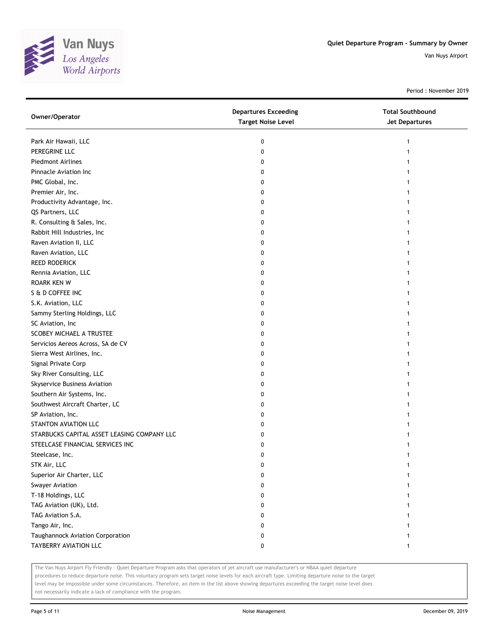

Period : November 2019

| Owner/Operator                              | <b>Departures Exceeding</b><br><b>Target Noise Level</b> | <b>Total Southbound</b><br>Jet Departures |
|---------------------------------------------|----------------------------------------------------------|-------------------------------------------|
| Park Air Hawaii, LLC                        | 0                                                        |                                           |
| PEREGRINE LLC                               | 0                                                        |                                           |
| <b>Piedmont Airlines</b>                    | 0                                                        |                                           |
| Pinnacle Aviation Inc                       | 0                                                        |                                           |
| PMC Global, Inc.                            | 0                                                        |                                           |
| Premier Air, Inc.                           | 0                                                        |                                           |
| Productivity Advantage, Inc.                | 0                                                        |                                           |
| QS Partners, LLC                            | 0                                                        |                                           |
| R. Consulting & Sales, Inc.                 | 0                                                        |                                           |
| Rabbit Hill Industries, Inc                 | 0                                                        |                                           |
| Raven Aviation II, LLC                      | 0                                                        |                                           |
| Raven Aviation, LLC                         | 0                                                        |                                           |
| <b>REED RODERICK</b>                        | 0                                                        |                                           |
| Rennia Aviation, LLC                        | 0                                                        |                                           |
| <b>ROARK KEN W</b>                          | 0                                                        |                                           |
| S & D COFFEE INC                            | 0                                                        |                                           |
| S.K. Aviation, LLC                          | 0                                                        |                                           |
| Sammy Sterling Holdings, LLC                | 0                                                        |                                           |
| SC Aviation, Inc                            | 0                                                        |                                           |
| SCOBEY MICHAEL A TRUSTEE                    | 0                                                        |                                           |
| Servicios Aereos Across, SA de CV           | 0                                                        |                                           |
| Sierra West Airlines, Inc.                  | 0                                                        |                                           |
| Signal Private Corp                         | 0                                                        |                                           |
| Sky River Consulting, LLC                   | 0                                                        |                                           |
| Skyservice Business Aviation                | 0                                                        |                                           |
| Southern Air Systems, Inc.                  | 0                                                        |                                           |
| Southwest Aircraft Charter, LC              | 0                                                        |                                           |
| SP Aviation, Inc.                           | 0                                                        |                                           |
| <b>STANTON AVIATION LLC</b>                 | 0                                                        |                                           |
| STARBUCKS CAPITAL ASSET LEASING COMPANY LLC | 0                                                        |                                           |
| STEELCASE FINANCIAL SERVICES INC            | 0                                                        |                                           |
| Steelcase, Inc.                             | 0                                                        |                                           |
| STK Air, LLC                                | 0                                                        |                                           |
| Superior Air Charter, LLC                   | 0                                                        |                                           |
| Swayer Aviation                             | 0                                                        |                                           |
| T-18 Holdings, LLC                          | 0                                                        |                                           |
| TAG Aviation (UK), Ltd.                     | 0                                                        |                                           |
| TAG Aviation S.A.                           | 0                                                        |                                           |
| Tango Air, Inc.                             | 0                                                        |                                           |
| Taughannock Aviation Corporation            | 0                                                        |                                           |
| TAYBERRY AVIATION LLC                       | 0                                                        | 1                                         |

The Van Nuys Airport Fly Friendly - Quiet Departure Program asks that operators of jet aircraft use manufacturer's or NBAA quiet departure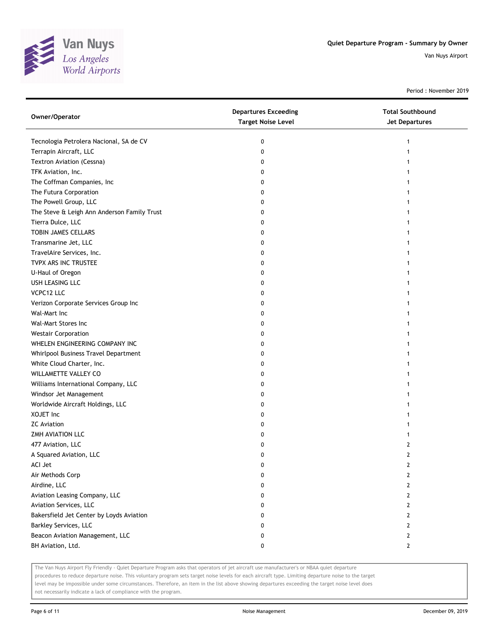

Period : November 2019

| Owner/Operator                              | <b>Departures Exceeding</b><br><b>Target Noise Level</b> | <b>Total Southbound</b><br>Jet Departures |
|---------------------------------------------|----------------------------------------------------------|-------------------------------------------|
| Tecnologia Petrolera Nacional, SA de CV     | 0                                                        | 1                                         |
| Terrapin Aircraft, LLC                      | 0                                                        |                                           |
| Textron Aviation (Cessna)                   | 0                                                        |                                           |
| TFK Aviation, Inc.                          | 0                                                        |                                           |
| The Coffman Companies, Inc                  | 0                                                        |                                           |
| The Futura Corporation                      | 0                                                        |                                           |
| The Powell Group, LLC                       | 0                                                        |                                           |
| The Steve & Leigh Ann Anderson Family Trust | 0                                                        |                                           |
| Tierra Dulce, LLC                           | 0                                                        |                                           |
| TOBIN JAMES CELLARS                         | 0                                                        |                                           |
| Transmarine Jet, LLC                        | 0                                                        |                                           |
| TravelAire Services, Inc.                   | 0                                                        |                                           |
| TVPX ARS INC TRUSTEE                        | 0                                                        |                                           |
| U-Haul of Oregon                            | 0                                                        |                                           |
| USH LEASING LLC                             | 0                                                        |                                           |
| VCPC12 LLC                                  | 0                                                        |                                           |
| Verizon Corporate Services Group Inc        | 0                                                        |                                           |
| Wal-Mart Inc                                | 0                                                        |                                           |
| Wal-Mart Stores Inc                         | 0                                                        |                                           |
| <b>Westair Corporation</b>                  | 0                                                        |                                           |
| WHELEN ENGINEERING COMPANY INC              | 0                                                        |                                           |
| Whirlpool Business Travel Department        | 0                                                        |                                           |
| White Cloud Charter, Inc.                   | 0                                                        |                                           |
| WILLAMETTE VALLEY CO                        | 0                                                        |                                           |
| Williams International Company, LLC         | 0                                                        |                                           |
| Windsor Jet Management                      | 0                                                        |                                           |
| Worldwide Aircraft Holdings, LLC            | 0                                                        |                                           |
| XOJET Inc                                   | 0                                                        |                                           |
| <b>ZC</b> Aviation                          | 0                                                        |                                           |
| ZMH AVIATION LLC                            | 0                                                        | 1                                         |
| 477 Aviation, LLC                           | 0                                                        | 2                                         |
| A Squared Aviation, LLC                     | 0                                                        | $\overline{2}$                            |
| ACI Jet                                     | U                                                        | $\mathbf{r}$                              |
| Air Methods Corp                            | 0                                                        | 2                                         |
| Airdine, LLC                                | 0                                                        | 2                                         |
| Aviation Leasing Company, LLC               | 0                                                        | 2                                         |
| Aviation Services, LLC                      | 0                                                        | 2                                         |
| Bakersfield Jet Center by Loyds Aviation    | 0                                                        | 2                                         |
| Barkley Services, LLC                       | 0                                                        | 2                                         |
| Beacon Aviation Management, LLC             | 0                                                        | 2                                         |
| BH Aviation, Ltd.                           | 0                                                        | $\mathbf{2}$                              |

The Van Nuys Airport Fly Friendly - Quiet Departure Program asks that operators of jet aircraft use manufacturer's or NBAA quiet departure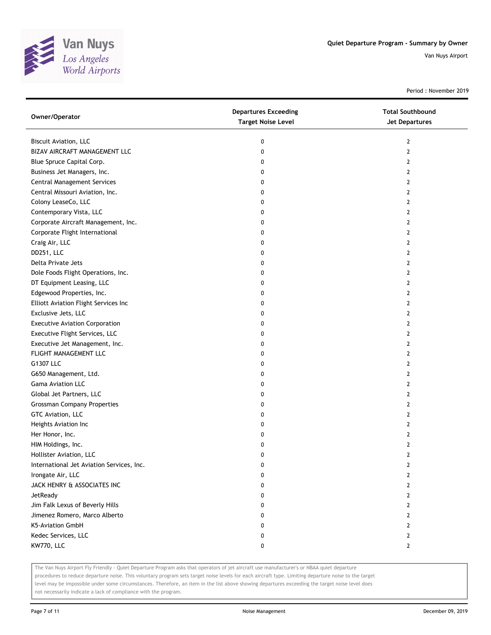

Period : November 2019

| Owner/Operator                            | <b>Departures Exceeding</b><br><b>Target Noise Level</b> | <b>Total Southbound</b><br><b>Jet Departures</b> |
|-------------------------------------------|----------------------------------------------------------|--------------------------------------------------|
| Biscuit Aviation, LLC                     | 0                                                        | $\mathbf{2}$                                     |
| BIZAV AIRCRAFT MANAGEMENT LLC             | 0                                                        | $\mathbf{2}$                                     |
| Blue Spruce Capital Corp.                 | 0                                                        | $\mathbf{2}$                                     |
| Business Jet Managers, Inc.               | 0                                                        | 2                                                |
| <b>Central Management Services</b>        | 0                                                        | 2                                                |
| Central Missouri Aviation, Inc.           | 0                                                        | $\mathbf{2}$                                     |
| Colony LeaseCo, LLC                       | 0                                                        | 2                                                |
| Contemporary Vista, LLC                   | 0                                                        | 2                                                |
| Corporate Aircraft Management, Inc.       | 0                                                        | 2                                                |
| Corporate Flight International            | 0                                                        | 2                                                |
| Craig Air, LLC                            | 0                                                        | 2                                                |
| DD251, LLC                                | 0                                                        | 2                                                |
| Delta Private Jets                        | 0                                                        | 2                                                |
| Dole Foods Flight Operations, Inc.        | 0                                                        | $\mathbf{2}$                                     |
| DT Equipment Leasing, LLC                 | 0                                                        | 2                                                |
| Edgewood Properties, Inc.                 | 0                                                        | $\mathbf{2}$                                     |
| Elliott Aviation Flight Services Inc      | 0                                                        | 2                                                |
| Exclusive Jets, LLC                       | 0                                                        | 2                                                |
| <b>Executive Aviation Corporation</b>     | 0                                                        | 2                                                |
| Executive Flight Services, LLC            | 0                                                        | $\mathbf{2}$                                     |
| Executive Jet Management, Inc.            | 0                                                        | $\mathbf{2}$                                     |
| FLIGHT MANAGEMENT LLC                     | 0                                                        | 2                                                |
| G1307 LLC                                 | 0                                                        | 2                                                |
| G650 Management, Ltd.                     | 0                                                        | 2                                                |
| Gama Aviation LLC                         | 0                                                        | 2                                                |
| Global Jet Partners, LLC                  | 0                                                        | $\mathbf{2}$                                     |
| <b>Grossman Company Properties</b>        | 0                                                        | 2                                                |
| GTC Aviation, LLC                         | 0                                                        | 2                                                |
| Heights Aviation Inc                      | 0                                                        | $\overline{2}$                                   |
| Her Honor, Inc.                           | 0                                                        | $\overline{2}$                                   |
| HIM Holdings, Inc.                        | 0                                                        | $\mathbf{2}$                                     |
| Hollister Aviation, LLC                   | 0                                                        | $\overline{2}$                                   |
| International Jet Aviation Services, Inc. | 0                                                        | 2                                                |
| Irongate Air, LLC                         | 0                                                        | 2                                                |
| JACK HENRY & ASSOCIATES INC               | 0                                                        | $\overline{2}$                                   |
| JetReady                                  | 0                                                        | $\mathbf{2}$                                     |
| Jim Falk Lexus of Beverly Hills           | 0                                                        | 2                                                |
| Jimenez Romero, Marco Alberto             | 0                                                        | 2                                                |
| <b>K5-Aviation GmbH</b>                   | 0                                                        | 2                                                |
| Kedec Services, LLC                       | 0                                                        | $\mathbf{2}$                                     |
| KW770, LLC                                | 0                                                        | $\mathbf{2}$                                     |

The Van Nuys Airport Fly Friendly - Quiet Departure Program asks that operators of jet aircraft use manufacturer's or NBAA quiet departure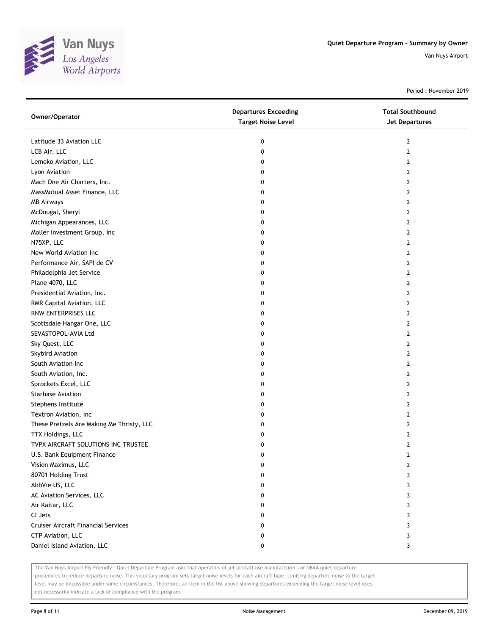

Period : November 2019

| Owner/Operator                             | <b>Departures Exceeding</b><br><b>Target Noise Level</b> | <b>Total Southbound</b><br><b>Jet Departures</b> |
|--------------------------------------------|----------------------------------------------------------|--------------------------------------------------|
| Latitude 33 Aviation LLC                   | 0                                                        | $\overline{2}$                                   |
| LCB Air, LLC                               | 0                                                        | 2                                                |
| Lemoko Aviation, LLC                       | 0                                                        | 2                                                |
| Lyon Aviation                              | 0                                                        | 2                                                |
| Mach One Air Charters, Inc.                | 0                                                        | 2                                                |
| MassMutual Asset Finance, LLC              | 0                                                        | 2                                                |
| <b>MB Airways</b>                          | 0                                                        | 2                                                |
| McDougal, Sheryl                           | 0                                                        | 2                                                |
| Michigan Appearances, LLC                  | 0                                                        | 2                                                |
| Moller Investment Group, Inc               | 0                                                        | 2                                                |
| N75XP, LLC                                 | 0                                                        | 2                                                |
| New World Aviation Inc                     | 0                                                        | 2                                                |
| Performance Air, SAPI de CV                | 0                                                        | 2                                                |
| Philadelphia Jet Service                   | 0                                                        | 2                                                |
| Plane 4070, LLC                            | 0                                                        | 2                                                |
| Presidential Aviation, Inc.                | 0                                                        | 2                                                |
| RMR Capital Aviation, LLC                  | 0                                                        | 2                                                |
| RNW ENTERPRISES LLC                        | 0                                                        | 2                                                |
| Scottsdale Hangar One, LLC                 | 0                                                        | 2                                                |
| SEVASTOPOL-AVIA Ltd                        | 0                                                        | 2                                                |
| Sky Quest, LLC                             | 0                                                        | 2                                                |
| Skybird Aviation                           | 0                                                        | 2                                                |
| South Aviation Inc                         | 0                                                        | 2                                                |
| South Aviation, Inc.                       | 0                                                        | 2                                                |
| Sprockets Excel, LLC                       | 0                                                        | 2                                                |
| Starbase Aviation                          | 0                                                        | $\mathbf{2}$                                     |
| Stephens Institute                         | 0                                                        | 2                                                |
| Textron Aviation, Inc                      | 0                                                        | 2                                                |
| These Pretzels Are Making Me Thristy, LLC  | 0                                                        | 2                                                |
| TTX Holdings, LLC                          | 0                                                        | 2                                                |
| TVPX AIRCRAFT SOLUTIONS INC TRUSTEE        | 0                                                        | 2                                                |
| U.S. Bank Equipment Finance                | 0                                                        | 2                                                |
| Vision Maximus, LLC                        | 0                                                        | 2                                                |
| 80701 Holding Trust                        | 0                                                        | 3                                                |
| AbbVie US, LLC                             | 0                                                        | 3                                                |
| AC Aviation Services, LLC                  | 0                                                        | 3                                                |
| Air Kaitar, LLC                            | 0                                                        | 3                                                |
| CI Jets                                    | 0                                                        | 3                                                |
| <b>Cruiser Aircraft Financial Services</b> | 0                                                        | 3                                                |
| CTP Aviation, LLC                          | 0                                                        | 3                                                |
| Daniel Island Aviation, LLC                | 0                                                        | 3                                                |

The Van Nuys Airport Fly Friendly - Quiet Departure Program asks that operators of jet aircraft use manufacturer's or NBAA quiet departure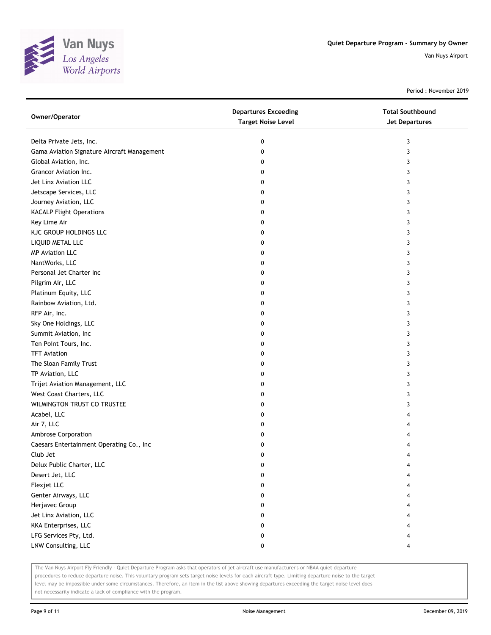

Period : November 2019

| <b>Target Noise Level</b><br>Jet Departures           |  |
|-------------------------------------------------------|--|
| Delta Private Jets, Inc.<br>0<br>3                    |  |
| Gama Aviation Signature Aircraft Management<br>0<br>3 |  |
| Global Aviation, Inc.<br>0<br>3                       |  |
| Grancor Aviation Inc.<br>0<br>3                       |  |
| Jet Linx Aviation LLC<br>0<br>3                       |  |
| Jetscape Services, LLC<br>0<br>3                      |  |
| Journey Aviation, LLC<br>0<br>3                       |  |
| <b>KACALP Flight Operations</b><br>0<br>3             |  |
| Key Lime Air<br>0<br>3                                |  |
| KJC GROUP HOLDINGS LLC<br>0<br>3                      |  |
| LIQUID METAL LLC<br>0<br>3                            |  |
| <b>MP Aviation LLC</b><br>0<br>3                      |  |
| NantWorks, LLC<br>3<br>0                              |  |
| Personal Jet Charter Inc<br>0<br>3                    |  |
| Pilgrim Air, LLC<br>0<br>3                            |  |
| Platinum Equity, LLC<br>0<br>3                        |  |
| Rainbow Aviation, Ltd.<br>0<br>3                      |  |
| RFP Air, Inc.<br>0<br>3                               |  |
| Sky One Holdings, LLC<br>0<br>3                       |  |
| Summit Aviation, Inc<br>0<br>3                        |  |
| Ten Point Tours, Inc.<br>0<br>3                       |  |
| <b>TFT Aviation</b><br>0<br>3                         |  |
| The Sloan Family Trust<br>3<br>0                      |  |
| TP Aviation, LLC<br>0<br>3                            |  |
| Trijet Aviation Management, LLC<br>0<br>3             |  |
| West Coast Charters, LLC<br>0<br>3                    |  |
| WILMINGTON TRUST CO TRUSTEE<br>0<br>3                 |  |
| Acabel, LLC<br>0<br>4                                 |  |
| Air 7, LLC<br>0<br>4                                  |  |
| Ambrose Corporation<br>0                              |  |
| Caesars Entertainment Operating Co., Inc<br>0<br>4    |  |
| Club Jet<br>0<br>4                                    |  |
| Delux Public Charter, LLC<br>0                        |  |
| Desert Jet, LLC<br>0                                  |  |
| Flexjet LLC<br>0                                      |  |
| Genter Airways, LLC<br>0<br>4                         |  |
| Herjavec Group<br>0<br>4                              |  |
| Jet Linx Aviation, LLC<br>0<br>4                      |  |
| KKA Enterprises, LLC<br>0                             |  |
| LFG Services Pty, Ltd.<br>0                           |  |
| LNW Consulting, LLC<br>0<br>4                         |  |

The Van Nuys Airport Fly Friendly - Quiet Departure Program asks that operators of jet aircraft use manufacturer's or NBAA quiet departure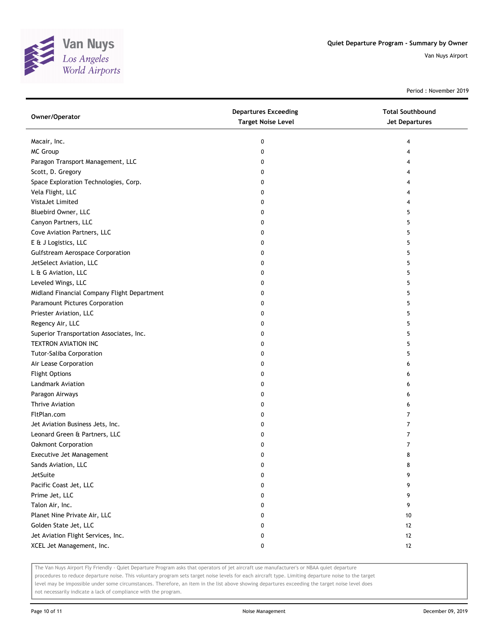

Period : November 2019

| Macair, Inc.<br>0<br>4<br><b>MC Group</b><br>0<br>4<br>Paragon Transport Management, LLC<br>0<br>4<br>Scott, D. Gregory<br>0<br>4<br>Space Exploration Technologies, Corp.<br>0<br>4<br>Vela Flight, LLC<br>0<br>4<br>VistaJet Limited<br>0<br>4<br>Bluebird Owner, LLC<br>5<br>0<br>Canyon Partners, LLC<br>0<br>5<br>Cove Aviation Partners, LLC<br>0<br>5<br>E & J Logistics, LLC<br>0<br>5<br><b>Gulfstream Aerospace Corporation</b><br>5<br>0<br>JetSelect Aviation, LLC<br>5<br>0<br>L & G Aviation, LLC<br>0<br>5<br>Leveled Wings, LLC<br>5<br>0<br>Midland Financial Company Flight Department<br>5<br>0<br>Paramount Pictures Corporation<br>5<br>0<br>Priester Aviation, LLC<br>5<br>0<br>Regency Air, LLC<br>0<br>5<br>Superior Transportation Associates, Inc.<br>0<br>5<br>TEXTRON AVIATION INC<br>0<br>5<br><b>Tutor-Saliba Corporation</b><br>5<br>0<br>Air Lease Corporation<br>0<br>6<br><b>Flight Options</b><br>0<br>6<br>Landmark Aviation<br>0<br>6<br>Paragon Airways<br>0<br>6<br>Thrive Aviation<br>0<br>6<br>FltPlan.com<br>7<br>0<br>Jet Aviation Business Jets, Inc.<br>0<br>7<br>Leonard Green & Partners, LLC<br>7<br>0<br>Oakmont Corporation<br>7<br>0<br>Executive Jet Management<br>0<br>8<br>Sands Aviation, LLC<br>8<br>U<br>JetSuite<br>9<br>0<br>Pacific Coast Jet, LLC<br>9<br>0<br>Prime Jet, LLC<br>9<br>0<br>Talon Air, Inc.<br>9<br>0<br>Planet Nine Private Air, LLC<br>10<br>0<br>Golden State Jet, LLC<br>0<br>12 | Owner/Operator                     | <b>Departures Exceeding</b><br><b>Target Noise Level</b> | <b>Total Southbound</b><br><b>Jet Departures</b> |
|------------------------------------------------------------------------------------------------------------------------------------------------------------------------------------------------------------------------------------------------------------------------------------------------------------------------------------------------------------------------------------------------------------------------------------------------------------------------------------------------------------------------------------------------------------------------------------------------------------------------------------------------------------------------------------------------------------------------------------------------------------------------------------------------------------------------------------------------------------------------------------------------------------------------------------------------------------------------------------------------------------------------------------------------------------------------------------------------------------------------------------------------------------------------------------------------------------------------------------------------------------------------------------------------------------------------------------------------------------------------------------------------------------------------------------------------------------------|------------------------------------|----------------------------------------------------------|--------------------------------------------------|
|                                                                                                                                                                                                                                                                                                                                                                                                                                                                                                                                                                                                                                                                                                                                                                                                                                                                                                                                                                                                                                                                                                                                                                                                                                                                                                                                                                                                                                                                  |                                    |                                                          |                                                  |
|                                                                                                                                                                                                                                                                                                                                                                                                                                                                                                                                                                                                                                                                                                                                                                                                                                                                                                                                                                                                                                                                                                                                                                                                                                                                                                                                                                                                                                                                  |                                    |                                                          |                                                  |
|                                                                                                                                                                                                                                                                                                                                                                                                                                                                                                                                                                                                                                                                                                                                                                                                                                                                                                                                                                                                                                                                                                                                                                                                                                                                                                                                                                                                                                                                  |                                    |                                                          |                                                  |
|                                                                                                                                                                                                                                                                                                                                                                                                                                                                                                                                                                                                                                                                                                                                                                                                                                                                                                                                                                                                                                                                                                                                                                                                                                                                                                                                                                                                                                                                  |                                    |                                                          |                                                  |
|                                                                                                                                                                                                                                                                                                                                                                                                                                                                                                                                                                                                                                                                                                                                                                                                                                                                                                                                                                                                                                                                                                                                                                                                                                                                                                                                                                                                                                                                  |                                    |                                                          |                                                  |
|                                                                                                                                                                                                                                                                                                                                                                                                                                                                                                                                                                                                                                                                                                                                                                                                                                                                                                                                                                                                                                                                                                                                                                                                                                                                                                                                                                                                                                                                  |                                    |                                                          |                                                  |
|                                                                                                                                                                                                                                                                                                                                                                                                                                                                                                                                                                                                                                                                                                                                                                                                                                                                                                                                                                                                                                                                                                                                                                                                                                                                                                                                                                                                                                                                  |                                    |                                                          |                                                  |
|                                                                                                                                                                                                                                                                                                                                                                                                                                                                                                                                                                                                                                                                                                                                                                                                                                                                                                                                                                                                                                                                                                                                                                                                                                                                                                                                                                                                                                                                  |                                    |                                                          |                                                  |
|                                                                                                                                                                                                                                                                                                                                                                                                                                                                                                                                                                                                                                                                                                                                                                                                                                                                                                                                                                                                                                                                                                                                                                                                                                                                                                                                                                                                                                                                  |                                    |                                                          |                                                  |
|                                                                                                                                                                                                                                                                                                                                                                                                                                                                                                                                                                                                                                                                                                                                                                                                                                                                                                                                                                                                                                                                                                                                                                                                                                                                                                                                                                                                                                                                  |                                    |                                                          |                                                  |
|                                                                                                                                                                                                                                                                                                                                                                                                                                                                                                                                                                                                                                                                                                                                                                                                                                                                                                                                                                                                                                                                                                                                                                                                                                                                                                                                                                                                                                                                  |                                    |                                                          |                                                  |
|                                                                                                                                                                                                                                                                                                                                                                                                                                                                                                                                                                                                                                                                                                                                                                                                                                                                                                                                                                                                                                                                                                                                                                                                                                                                                                                                                                                                                                                                  |                                    |                                                          |                                                  |
|                                                                                                                                                                                                                                                                                                                                                                                                                                                                                                                                                                                                                                                                                                                                                                                                                                                                                                                                                                                                                                                                                                                                                                                                                                                                                                                                                                                                                                                                  |                                    |                                                          |                                                  |
|                                                                                                                                                                                                                                                                                                                                                                                                                                                                                                                                                                                                                                                                                                                                                                                                                                                                                                                                                                                                                                                                                                                                                                                                                                                                                                                                                                                                                                                                  |                                    |                                                          |                                                  |
|                                                                                                                                                                                                                                                                                                                                                                                                                                                                                                                                                                                                                                                                                                                                                                                                                                                                                                                                                                                                                                                                                                                                                                                                                                                                                                                                                                                                                                                                  |                                    |                                                          |                                                  |
|                                                                                                                                                                                                                                                                                                                                                                                                                                                                                                                                                                                                                                                                                                                                                                                                                                                                                                                                                                                                                                                                                                                                                                                                                                                                                                                                                                                                                                                                  |                                    |                                                          |                                                  |
|                                                                                                                                                                                                                                                                                                                                                                                                                                                                                                                                                                                                                                                                                                                                                                                                                                                                                                                                                                                                                                                                                                                                                                                                                                                                                                                                                                                                                                                                  |                                    |                                                          |                                                  |
|                                                                                                                                                                                                                                                                                                                                                                                                                                                                                                                                                                                                                                                                                                                                                                                                                                                                                                                                                                                                                                                                                                                                                                                                                                                                                                                                                                                                                                                                  |                                    |                                                          |                                                  |
|                                                                                                                                                                                                                                                                                                                                                                                                                                                                                                                                                                                                                                                                                                                                                                                                                                                                                                                                                                                                                                                                                                                                                                                                                                                                                                                                                                                                                                                                  |                                    |                                                          |                                                  |
|                                                                                                                                                                                                                                                                                                                                                                                                                                                                                                                                                                                                                                                                                                                                                                                                                                                                                                                                                                                                                                                                                                                                                                                                                                                                                                                                                                                                                                                                  |                                    |                                                          |                                                  |
|                                                                                                                                                                                                                                                                                                                                                                                                                                                                                                                                                                                                                                                                                                                                                                                                                                                                                                                                                                                                                                                                                                                                                                                                                                                                                                                                                                                                                                                                  |                                    |                                                          |                                                  |
|                                                                                                                                                                                                                                                                                                                                                                                                                                                                                                                                                                                                                                                                                                                                                                                                                                                                                                                                                                                                                                                                                                                                                                                                                                                                                                                                                                                                                                                                  |                                    |                                                          |                                                  |
|                                                                                                                                                                                                                                                                                                                                                                                                                                                                                                                                                                                                                                                                                                                                                                                                                                                                                                                                                                                                                                                                                                                                                                                                                                                                                                                                                                                                                                                                  |                                    |                                                          |                                                  |
|                                                                                                                                                                                                                                                                                                                                                                                                                                                                                                                                                                                                                                                                                                                                                                                                                                                                                                                                                                                                                                                                                                                                                                                                                                                                                                                                                                                                                                                                  |                                    |                                                          |                                                  |
|                                                                                                                                                                                                                                                                                                                                                                                                                                                                                                                                                                                                                                                                                                                                                                                                                                                                                                                                                                                                                                                                                                                                                                                                                                                                                                                                                                                                                                                                  |                                    |                                                          |                                                  |
|                                                                                                                                                                                                                                                                                                                                                                                                                                                                                                                                                                                                                                                                                                                                                                                                                                                                                                                                                                                                                                                                                                                                                                                                                                                                                                                                                                                                                                                                  |                                    |                                                          |                                                  |
|                                                                                                                                                                                                                                                                                                                                                                                                                                                                                                                                                                                                                                                                                                                                                                                                                                                                                                                                                                                                                                                                                                                                                                                                                                                                                                                                                                                                                                                                  |                                    |                                                          |                                                  |
|                                                                                                                                                                                                                                                                                                                                                                                                                                                                                                                                                                                                                                                                                                                                                                                                                                                                                                                                                                                                                                                                                                                                                                                                                                                                                                                                                                                                                                                                  |                                    |                                                          |                                                  |
|                                                                                                                                                                                                                                                                                                                                                                                                                                                                                                                                                                                                                                                                                                                                                                                                                                                                                                                                                                                                                                                                                                                                                                                                                                                                                                                                                                                                                                                                  |                                    |                                                          |                                                  |
|                                                                                                                                                                                                                                                                                                                                                                                                                                                                                                                                                                                                                                                                                                                                                                                                                                                                                                                                                                                                                                                                                                                                                                                                                                                                                                                                                                                                                                                                  |                                    |                                                          |                                                  |
|                                                                                                                                                                                                                                                                                                                                                                                                                                                                                                                                                                                                                                                                                                                                                                                                                                                                                                                                                                                                                                                                                                                                                                                                                                                                                                                                                                                                                                                                  |                                    |                                                          |                                                  |
|                                                                                                                                                                                                                                                                                                                                                                                                                                                                                                                                                                                                                                                                                                                                                                                                                                                                                                                                                                                                                                                                                                                                                                                                                                                                                                                                                                                                                                                                  |                                    |                                                          |                                                  |
|                                                                                                                                                                                                                                                                                                                                                                                                                                                                                                                                                                                                                                                                                                                                                                                                                                                                                                                                                                                                                                                                                                                                                                                                                                                                                                                                                                                                                                                                  |                                    |                                                          |                                                  |
|                                                                                                                                                                                                                                                                                                                                                                                                                                                                                                                                                                                                                                                                                                                                                                                                                                                                                                                                                                                                                                                                                                                                                                                                                                                                                                                                                                                                                                                                  |                                    |                                                          |                                                  |
|                                                                                                                                                                                                                                                                                                                                                                                                                                                                                                                                                                                                                                                                                                                                                                                                                                                                                                                                                                                                                                                                                                                                                                                                                                                                                                                                                                                                                                                                  |                                    |                                                          |                                                  |
|                                                                                                                                                                                                                                                                                                                                                                                                                                                                                                                                                                                                                                                                                                                                                                                                                                                                                                                                                                                                                                                                                                                                                                                                                                                                                                                                                                                                                                                                  |                                    |                                                          |                                                  |
|                                                                                                                                                                                                                                                                                                                                                                                                                                                                                                                                                                                                                                                                                                                                                                                                                                                                                                                                                                                                                                                                                                                                                                                                                                                                                                                                                                                                                                                                  |                                    |                                                          |                                                  |
|                                                                                                                                                                                                                                                                                                                                                                                                                                                                                                                                                                                                                                                                                                                                                                                                                                                                                                                                                                                                                                                                                                                                                                                                                                                                                                                                                                                                                                                                  |                                    |                                                          |                                                  |
|                                                                                                                                                                                                                                                                                                                                                                                                                                                                                                                                                                                                                                                                                                                                                                                                                                                                                                                                                                                                                                                                                                                                                                                                                                                                                                                                                                                                                                                                  |                                    |                                                          |                                                  |
|                                                                                                                                                                                                                                                                                                                                                                                                                                                                                                                                                                                                                                                                                                                                                                                                                                                                                                                                                                                                                                                                                                                                                                                                                                                                                                                                                                                                                                                                  | Jet Aviation Flight Services, Inc. | 0                                                        | 12                                               |
| XCEL Jet Management, Inc.<br>0<br>12                                                                                                                                                                                                                                                                                                                                                                                                                                                                                                                                                                                                                                                                                                                                                                                                                                                                                                                                                                                                                                                                                                                                                                                                                                                                                                                                                                                                                             |                                    |                                                          |                                                  |

The Van Nuys Airport Fly Friendly - Quiet Departure Program asks that operators of jet aircraft use manufacturer's or NBAA quiet departure